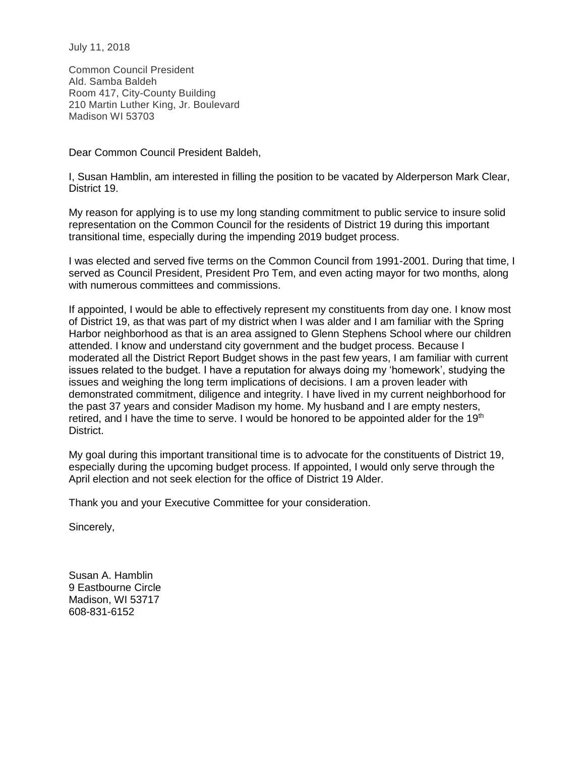July 11, 2018

Common Council President Ald. Samba Baldeh Room 417, City-County Building 210 Martin Luther King, Jr. Boulevard Madison WI 53703

Dear Common Council President Baldeh,

I, Susan Hamblin, am interested in filling the position to be vacated by Alderperson Mark Clear, District 19.

My reason for applying is to use my long standing commitment to public service to insure solid representation on the Common Council for the residents of District 19 during this important transitional time, especially during the impending 2019 budget process.

I was elected and served five terms on the Common Council from 1991-2001. During that time, I served as Council President, President Pro Tem, and even acting mayor for two months, along with numerous committees and commissions.

If appointed, I would be able to effectively represent my constituents from day one. I know most of District 19, as that was part of my district when I was alder and I am familiar with the Spring Harbor neighborhood as that is an area assigned to Glenn Stephens School where our children attended. I know and understand city government and the budget process. Because I moderated all the District Report Budget shows in the past few years, I am familiar with current issues related to the budget. I have a reputation for always doing my 'homework', studying the issues and weighing the long term implications of decisions. I am a proven leader with demonstrated commitment, diligence and integrity. I have lived in my current neighborhood for the past 37 years and consider Madison my home. My husband and I are empty nesters, retired, and I have the time to serve. I would be honored to be appointed alder for the 19<sup>th</sup> District.

My goal during this important transitional time is to advocate for the constituents of District 19, especially during the upcoming budget process. If appointed, I would only serve through the April election and not seek election for the office of District 19 Alder.

Thank you and your Executive Committee for your consideration.

Sincerely,

Susan A. Hamblin 9 Eastbourne Circle Madison, WI 53717 608-831-6152